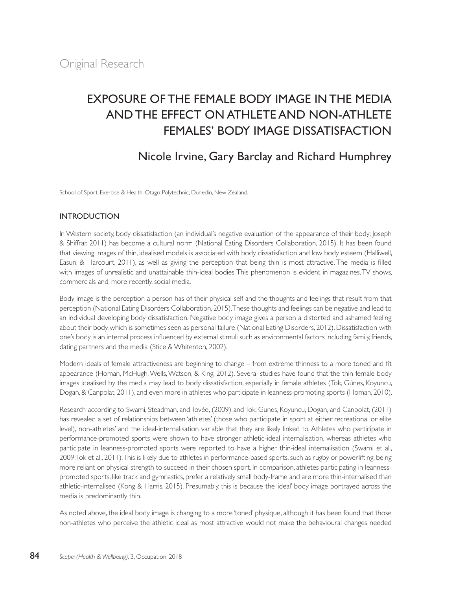# EXPOSURE OF THE FEMALE BODY IMAGE IN THE MEDIA AND THE EFFECT ON ATHLETE AND NON-ATHLETE FEMALES' BODY IMAGE DISSATISFACTION

## Nicole Irvine, Gary Barclay and Richard Humphrey

School of Sport, Exercise & Health, Otago Polytechnic, Dunedin, New Zealand.

## **INTRODUCTION**

In Western society, body dissatisfaction (an individual's negative evaluation of the appearance of their body; Joseph & Shiffrar, 2011) has become a cultural norm (National Eating Disorders Collaboration, 2015). It has been found that viewing images of thin, idealised models is associated with body dissatisfaction and low body esteem (Halliwell, Easun, & Harcourt, 2011), as well as giving the perception that being thin is most attractive. The media is filled with images of unrealistic and unattainable thin-ideal bodies. This phenomenon is evident in magazines, TV shows, commercials and, more recently, social media.

Body image is the perception a person has of their physical self and the thoughts and feelings that result from that perception (National Eating Disorders Collaboration, 2015). These thoughts and feelings can be negative and lead to an individual developing body dissatisfaction. Negative body image gives a person a distorted and ashamed feeling about their body, which is sometimes seen as personal failure (National Eating Disorders, 2012). Dissatisfaction with one's body is an internal process influenced by external stimuli such as environmental factors including family, friends, dating partners and the media (Stice & Whitenton, 2002).

Modern ideals of female attractiveness are beginning to change – from extreme thinness to a more toned and fit appearance (Homan, McHugh, Wells, Watson, & King, 2012). Several studies have found that the thin female body images idealised by the media may lead to body dissatisfaction, especially in female athletes (Tok, Gúnes, Koyuncu, Dogan, & Canpolat, 2011), and even more in athletes who participate in leanness-promoting sports (Homan, 2010).

Research according to Swami, Steadman, and Tovée, (2009) and Tok, Gunes, Koyuncu, Dogan, and Canpolat, (2011) has revealed a set of relationships between 'athletes' (those who participate in sport at either recreational or elite level), 'non-athletes' and the ideal-internalisation variable that they are likely linked to. Athletes who participate in performance-promoted sports were shown to have stronger athletic-ideal internalisation, whereas athletes who participate in leanness-promoted sports were reported to have a higher thin-ideal internalisation (Swami et al., 2009; Tok et al., 2011). This is likely due to athletes in performance-based sports, such as rugby or powerlifting, being more reliant on physical strength to succeed in their chosen sport. In comparison, athletes participating in leannesspromoted sports, like track and gymnastics, prefer a relatively small body-frame and are more thin-internalised than athletic-internalised (Kong & Harris, 2015). Presumably, this is because the 'ideal' body image portrayed across the media is predominantly thin.

As noted above, the ideal body image is changing to a more 'toned' physique, although it has been found that those non-athletes who perceive the athletic ideal as most attractive would not make the behavioural changes needed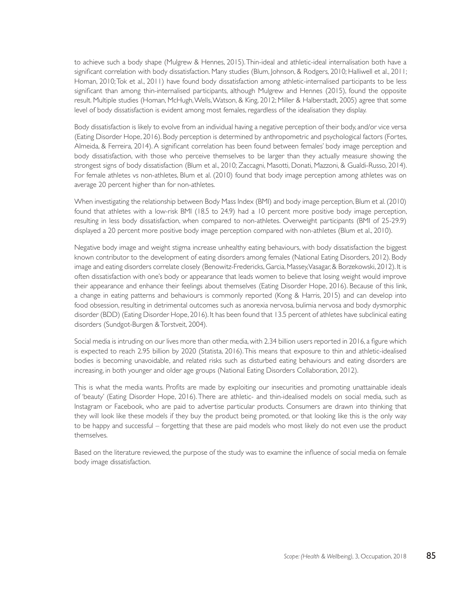to achieve such a body shape (Mulgrew & Hennes, 2015). Thin-ideal and athletic-ideal internalisation both have a significant correlation with body dissatisfaction. Many studies (Blum, Johnson, & Rodgers, 2010; Halliwell et al., 2011; Homan, 2010; Tok et al., 2011) have found body dissatisfaction among athletic-internalised participants to be less significant than among thin-internalised participants, although Mulgrew and Hennes (2015), found the opposite result. Multiple studies (Homan, McHugh, Wells, Watson, & King, 2012; Miller & Halberstadt, 2005) agree that some level of body dissatisfaction is evident among most females, regardless of the idealisation they display.

Body dissatisfaction is likely to evolve from an individual having a negative perception of their body, and/or vice versa (Eating Disorder Hope, 2016). Body perception is determined by anthropometric and psychological factors (Fortes, Almeida, & Ferreira, 2014). A significant correlation has been found between females' body image perception and body dissatisfaction, with those who perceive themselves to be larger than they actually measure showing the strongest signs of body dissatisfaction (Blum et al., 2010; Zaccagni, Masotti, Donati, Mazzoni, & Gualdi-Russo, 2014). For female athletes vs non-athletes, Blum et al. (2010) found that body image perception among athletes was on average 20 percent higher than for non-athletes.

When investigating the relationship between Body Mass Index (BMI) and body image perception, Blum et al. (2010) found that athletes with a low-risk BMI (18.5 to 24.9) had a 10 percent more positive body image perception, resulting in less body dissatisfaction, when compared to non-athletes. Overweight participants (BMI of 25-29.9) displayed a 20 percent more positive body image perception compared with non-athletes (Blum et al., 2010).

Negative body image and weight stigma increase unhealthy eating behaviours, with body dissatisfaction the biggest known contributor to the development of eating disorders among females (National Eating Disorders, 2012). Body image and eating disorders correlate closely (Benowitz-Fredericks, Garcia, Massey, Vasagar, & Borzekowski, 2012). It is often dissatisfaction with one's body or appearance that leads women to believe that losing weight would improve their appearance and enhance their feelings about themselves (Eating Disorder Hope, 2016). Because of this link, a change in eating patterns and behaviours is commonly reported (Kong & Harris, 2015) and can develop into food obsession, resulting in detrimental outcomes such as anorexia nervosa, bulimia nervosa and body dysmorphic disorder (BDD) (Eating Disorder Hope, 2016). It has been found that 13.5 percent of athletes have subclinical eating disorders (Sundgot-Burgen & Torstveit, 2004).

Social media is intruding on our lives more than other media, with 2.34 billion users reported in 2016, a figure which is expected to reach 2.95 billion by 2020 (Statista, 2016). This means that exposure to thin and athletic-idealised bodies is becoming unavoidable, and related risks such as disturbed eating behaviours and eating disorders are increasing, in both younger and older age groups (National Eating Disorders Collaboration, 2012).

This is what the media wants. Profits are made by exploiting our insecurities and promoting unattainable ideals of 'beauty' (Eating Disorder Hope, 2016). There are athletic- and thin-idealised models on social media, such as Instagram or Facebook, who are paid to advertise particular products. Consumers are drawn into thinking that they will look like these models if they buy the product being promoted, or that looking like this is the only way to be happy and successful – forgetting that these are paid models who most likely do not even use the product themselves.

Based on the literature reviewed, the purpose of the study was to examine the influence of social media on female body image dissatisfaction.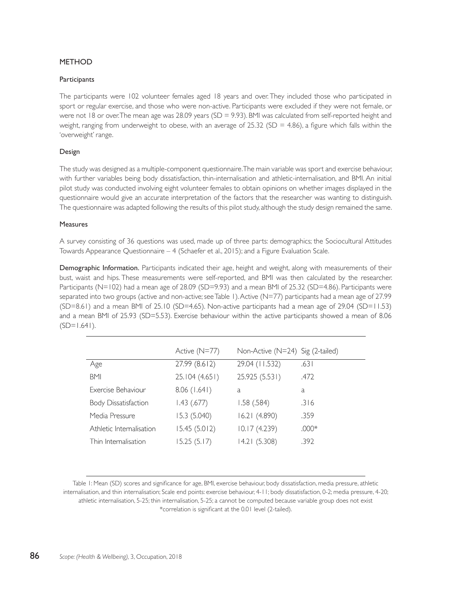## METHOD

#### **Participants**

The participants were 102 volunteer females aged 18 years and over. They included those who participated in sport or regular exercise, and those who were non-active. Participants were excluded if they were not female, or were not 18 or over. The mean age was 28.09 years (SD = 9.93). BMI was calculated from self-reported height and weight, ranging from underweight to obese, with an average of 25.32 (SD = 4.86), a figure which falls within the 'overweight' range.

#### Design

The study was designed as a multiple-component questionnaire. The main variable was sport and exercise behaviour, with further variables being body dissatisfaction, thin-internalisation and athletic-internalisation, and BMI. An initial pilot study was conducted involving eight volunteer females to obtain opinions on whether images displayed in the questionnaire would give an accurate interpretation of the factors that the researcher was wanting to distinguish. The questionnaire was adapted following the results of this pilot study, although the study design remained the same.

#### Measures

A survey consisting of 36 questions was used, made up of three parts: demographics; the Sociocultural Attitudes Towards Appearance Questionnaire – 4 (Schaefer et al., 2015); and a Figure Evaluation Scale.

Demographic Information. Participants indicated their age, height and weight, along with measurements of their bust, waist and hips. These measurements were self-reported, and BMI was then calculated by the researcher. Participants (N=102) had a mean age of 28.09 (SD=9.93) and a mean BMI of 25.32 (SD=4.86). Participants were separated into two groups (active and non-active; see Table 1). Active (N=77) participants had a mean age of 27.99 (SD=8.61) and a mean BMI of 25.10 (SD=4.65). Non-active participants had a mean age of 29.04 (SD=11.53) and a mean BMI of 25.93 (SD=5.53). Exercise behaviour within the active participants showed a mean of 8.06  $(SD=1.641)$ .

|                             | Active (N=77)  | Non-Active (N=24) Sig (2-tailed) |         |
|-----------------------------|----------------|----------------------------------|---------|
| Age                         | 27.99 (8.612)  | 29.04 (11.532)                   | .631    |
| <b>BMI</b>                  | 25.104 (4.651) | 25.925 (5.531)                   | .472    |
| Exercise Behaviour          | 8.06(1.641)    | a                                | a       |
| <b>Body Dissatisfaction</b> | 1.43 (.677)    | 1.58 (.584)                      | .316    |
| Media Pressure              | 15.3 (5.040)   | 16.21 (4.890)                    | .359    |
| Athletic Internalisation    | 15.45 (5.012)  | 10.17 (4.239)                    | $.000*$ |
| Thin Internalisation        | 15.25 (5.17)   | 14.21 (5.308)                    | .392    |

Table 1: Mean (SD) scores and significance for age, BMI, exercise behaviour, body dissatisfaction, media pressure, athletic internalisation, and thin internalisation; Scale end points: exercise behaviour, 4-11; body dissatisfaction, 0-2; media pressure, 4-20; athletic internalisation, 5-25; thin internalisation, 5-25; a cannot be computed because variable group does not exist \*correlation is significant at the 0.01 level (2-tailed).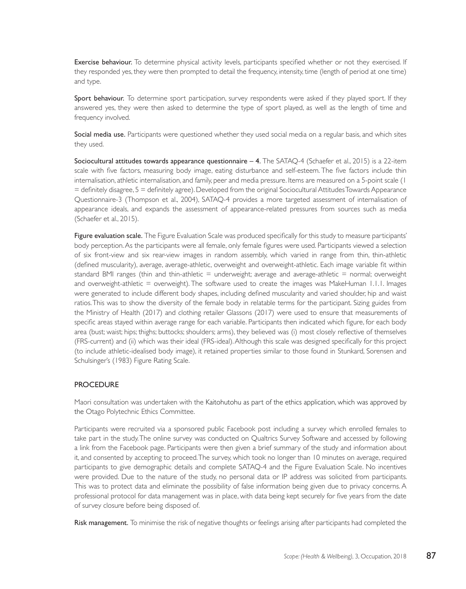Exercise behaviour. To determine physical activity levels, participants specified whether or not they exercised. If they responded yes, they were then prompted to detail the frequency, intensity, time (length of period at one time) and type.

Sport behaviour. To determine sport participation, survey respondents were asked if they played sport. If they answered yes, they were then asked to determine the type of sport played, as well as the length of time and frequency involved.

Social media use. Participants were questioned whether they used social media on a regular basis, and which sites they used.

Sociocultural attitudes towards appearance questionnaire – 4. The SATAQ-4 (Schaefer et al., 2015) is a 22-item scale with five factors, measuring body image, eating disturbance and self-esteem. The five factors include thin internalisation, athletic internalisation, and family, peer and media pressure. Items are measured on a 5-point scale (1 = definitely disagree, 5 = definitely agree). Developed from the original Sociocultural Attitudes Towards Appearance Questionnaire-3 (Thompson et al., 2004), SATAQ-4 provides a more targeted assessment of internalisation of appearance ideals, and expands the assessment of appearance-related pressures from sources such as media (Schaefer et al., 2015).

Figure evaluation scale. The Figure Evaluation Scale was produced specifically for this study to measure participants' body perception. As the participants were all female, only female figures were used. Participants viewed a selection of six front-view and six rear-view images in random assembly, which varied in range from thin, thin-athletic (defined muscularity), average, average-athletic, overweight and overweight-athletic. Each image variable fit within standard BMI ranges (thin and thin-athletic = underweight; average and average-athletic = normal; overweight and overweight-athletic = overweight). The software used to create the images was MakeHuman 1.1.1. Images were generated to include different body shapes, including defined muscularity and varied shoulder, hip and waist ratios. This was to show the diversity of the female body in relatable terms for the participant. Sizing guides from the Ministry of Health (2017) and clothing retailer Glassons (2017) were used to ensure that measurements of specific areas stayed within average range for each variable. Participants then indicated which figure, for each body area (bust; waist; hips; thighs; buttocks; shoulders; arms), they believed was (i) most closely reflective of themselves (FRS-current) and (ii) which was their ideal (FRS-ideal). Although this scale was designed specifically for this project (to include athletic-idealised body image), it retained properties similar to those found in Stunkard, Sorensen and Schulsinger's (1983) Figure Rating Scale.

## **PROCEDURE**

Maori consultation was undertaken with the Kaitohutohu as part of the ethics application, which was approved by the Otago Polytechnic Ethics Committee.

Participants were recruited via a sponsored public Facebook post including a survey which enrolled females to take part in the study. The online survey was conducted on Qualtrics Survey Software and accessed by following a link from the Facebook page. Participants were then given a brief summary of the study and information about it, and consented by accepting to proceed. The survey, which took no longer than 10 minutes on average, required participants to give demographic details and complete SATAQ-4 and the Figure Evaluation Scale. No incentives were provided. Due to the nature of the study, no personal data or IP address was solicited from participants. This was to protect data and eliminate the possibility of false information being given due to privacy concerns. A professional protocol for data management was in place, with data being kept securely for five years from the date of survey closure before being disposed of.

Risk management. To minimise the risk of negative thoughts or feelings arising after participants had completed the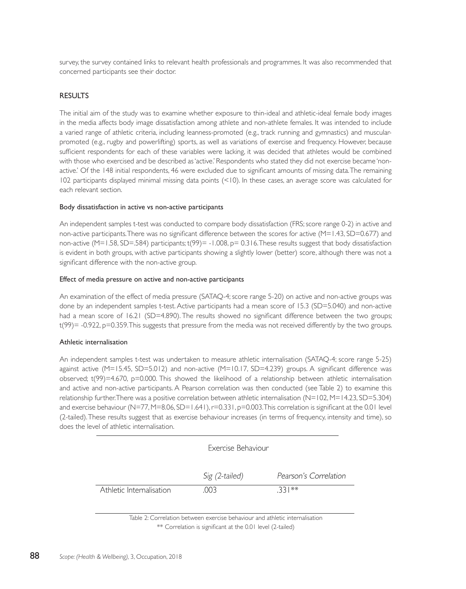survey, the survey contained links to relevant health professionals and programmes. It was also recommended that concerned participants see their doctor.

## RESULTS

The initial aim of the study was to examine whether exposure to thin-ideal and athletic-ideal female body images in the media affects body image dissatisfaction among athlete and non-athlete females. It was intended to include a varied range of athletic criteria, including leanness-promoted (e.g., track running and gymnastics) and muscularpromoted (e.g., rugby and powerlifting) sports, as well as variations of exercise and frequency. However, because sufficient respondents for each of these variables were lacking, it was decided that athletes would be combined with those who exercised and be described as 'active.' Respondents who stated they did not exercise became 'nonactive.' Of the 148 initial respondents, 46 were excluded due to significant amounts of missing data. The remaining 102 participants displayed minimal missing data points (<10). In these cases, an average score was calculated for each relevant section.

#### Body dissatisfaction in active vs non-active participants

An independent samples t-test was conducted to compare body dissatisfaction (FRS; score range 0-2) in active and non-active participants. There was no significant difference between the scores for active (M=1.43, SD=0.677) and non-active (M=1.58, SD=.584) participants; t(99)= -1.008, p= 0.316. These results suggest that body dissatisfaction is evident in both groups, with active participants showing a slightly lower (better) score, although there was not a significant difference with the non-active group.

#### Effect of media pressure on active and non-active participants

An examination of the effect of media pressure (SATAQ-4; score range 5-20) on active and non-active groups was done by an independent samples t-test. Active participants had a mean score of 15.3 (SD=5.040) and non-active had a mean score of 16.21 (SD=4.890). The results showed no significant difference between the two groups; t(99)= -0.922, p=0.359. This suggests that pressure from the media was not received differently by the two groups.

### Athletic internalisation

An independent samples t-test was undertaken to measure athletic internalisation (SATAQ-4; score range 5-25) against active (M=15.45, SD=5.012) and non-active (M=10.17, SD=4.239) groups. A significant difference was observed; t(99)=4.670, p=0.000. This showed the likelihood of a relationship between athletic internalisation and active and non-active participants. A Pearson correlation was then conducted (see Table 2) to examine this relationship further. There was a positive correlation between athletic internalisation (N=102, M=14.23, SD=5.304) and exercise behaviour (N=77, M=8.06, SD=1.641), r=0.331, p=0.003. This correlation is significant at the 0.01 level (2-tailed). These results suggest that as exercise behaviour increases (in terms of frequency, intensity and time), so does the level of athletic internalisation.

|                          | Exercise Behaviour |                       |
|--------------------------|--------------------|-----------------------|
|                          | Sig (2-tailed)     | Pearson's Correlation |
| Athletic Internalisation | .003               | $331**$               |
|                          |                    |                       |

Table 2: Correlation between exercise behaviour and athletic internalisation \*\* Correlation is significant at the 0.01 level (2-tailed)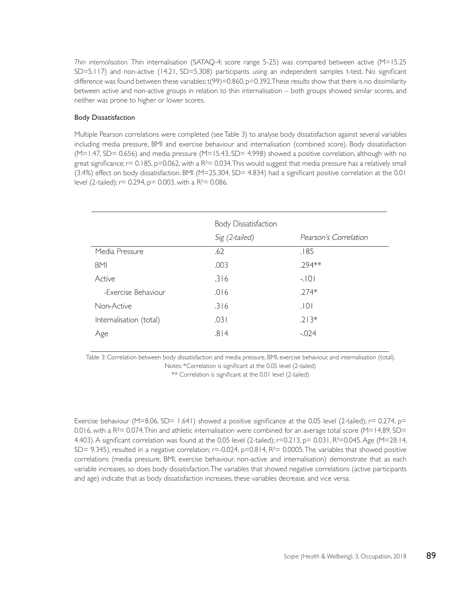*Thin internalisation.* Thin internalisation (SATAQ-4; score range 5-25) was compared between active (M=15.25 SD=5.117) and non-active (14.21, SD=5.308) participants using an independent samples t-test. No significant difference was found between these variables;  $t(99)=0.860$ ,  $p=0.392$ . These results show that there is no dissimilarity between active and non-active groups in relation to thin internalisation – both groups showed similar scores, and neither was prone to higher or lower scores.

#### Body Dissatisfaction

Multiple Pearson correlations were completed (see Table 3) to analyse body dissatisfaction against several variables including media pressure, BMI and exercise behaviour and internalisation (combined score). Body dissatisfaction  $(M=1.47, SD= 0.656)$  and media pressure  $(M=15.43, SD= 4.998)$  showed a positive correlation, although with no great significance;  $r = 0.185$ ,  $p=0.062$ , with a  $R<sup>2</sup>= 0.034$ . This would suggest that media pressure has a relatively small (3.4%) effect on body dissatisfaction. BMI (M=25.304, SD= 4.834) had a significant positive correlation at the 0.01 level (2-tailed);  $r= 0.294$ ,  $p= 0.003$ , with a R<sup>2</sup>= 0.086.

|                         | Body Dissatisfaction |                       |
|-------------------------|----------------------|-----------------------|
|                         | Sig (2-tailed)       | Pearson's Correlation |
| Media Pressure          | .62                  | .185                  |
| <b>BMI</b>              | .003                 | .294**                |
| Active                  | .316                 | $-101$                |
| -Exercise Behaviour     | .016                 | $.274*$               |
| Non-Active              | .316                 | .101                  |
| Internalisation (total) | .031                 | $.213*$               |
| Age                     | .814                 | $-024$                |

Table 3: Correlation between body dissatisfaction and media pressure, BMI, exercise behaviour, and internalisation (total). Notes: \*Correlation is significant at the 0.05 level (2-tailed)

\*\* Correlation is significant at the 0.01 level (2-tailed)

Exercise behaviour (M=8.06, SD= 1.641) showed a positive significance at the 0.05 level (2-tailed);  $r= 0.274$ ,  $p=$ 0.016, with a  $R^2 = 0.074$ . Thin and athletic internalisation were combined for an average total score (M=14.89, SD= 4.403). A significant correlation was found at the 0.05 level (2-tailed); r=0.213, p= 0.031, R²=0.045. Age (M=28.14, SD= 9.345), resulted in a negative correlation;  $r=-0.024$ ,  $p=0.814$ ,  $R<sup>2</sup>=0.0005$ . The variables that showed positive correlations (media pressure, BMI, exercise behaviour, non-active and internalisation) demonstrate that as each variable increases, so does body dissatisfaction. The variables that showed negative correlations (active participants and age) indicate that as body dissatisfaction increases, these variables decrease, and vice versa.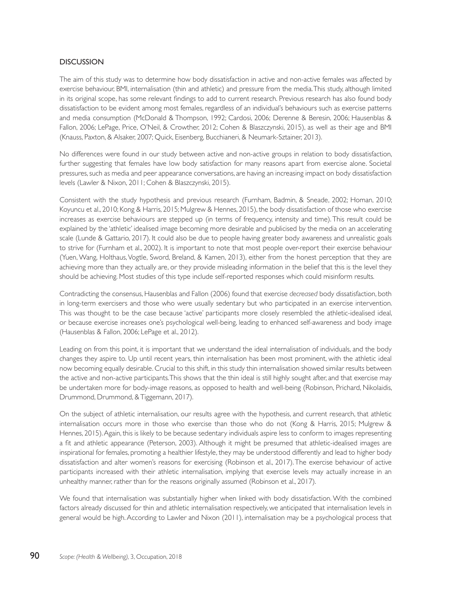## **DISCUSSION**

The aim of this study was to determine how body dissatisfaction in active and non-active females was affected by exercise behaviour, BMI, internalisation (thin and athletic) and pressure from the media. This study, although limited in its original scope, has some relevant findings to add to current research. Previous research has also found body dissatisfaction to be evident among most females, regardless of an individual's behaviours such as exercise patterns and media consumption (McDonald & Thompson, 1992; Cardosi, 2006; Derenne & Beresin, 2006; Hausenblas & Fallon, 2006; LePage, Price, O'Neil, & Crowther, 2012; Cohen & Blaszczynski, 2015), as well as their age and BMI (Knauss, Paxton, & Alsaker, 2007; Quick, Eisenberg, Bucchianeri, & Neumark-Sztainer, 2013).

No differences were found in our study between active and non-active groups in relation to body dissatisfaction, further suggesting that females have low body satisfaction for many reasons apart from exercise alone. Societal pressures, such as media and peer appearance conversations, are having an increasing impact on body dissatisfaction levels (Lawler & Nixon, 2011; Cohen & Blaszczynski, 2015).

Consistent with the study hypothesis and previous research (Furnham, Badmin, & Sneade, 2002; Homan, 2010; Koyuncu et al., 2010; Kong & Harris, 2015; Mulgrew & Hennes, 2015), the body dissatisfaction of those who exercise increases as exercise behaviours are stepped up (in terms of frequency, intensity and time). This result could be explained by the 'athletic' idealised image becoming more desirable and publicised by the media on an accelerating scale (Lunde & Gattario, 2017). It could also be due to people having greater body awareness and unrealistic goals to strive for (Furnham et al., 2002). It is important to note that most people over-report their exercise behaviour (Yuen, Wang, Holthaus, Vogtle, Sword, Breland, & Kamen, 2013), either from the honest perception that they are achieving more than they actually are, or they provide misleading information in the belief that this is the level they should be achieving. Most studies of this type include self-reported responses which could misinform results.

Contradicting the consensus, Hausenblas and Fallon (2006) found that exercise *decreased* body dissatisfaction, both in long-term exercisers and those who were usually sedentary but who participated in an exercise intervention. This was thought to be the case because 'active' participants more closely resembled the athletic-idealised ideal, or because exercise increases one's psychological well-being, leading to enhanced self-awareness and body image (Hausenblas & Fallon, 2006; LePage et al., 2012).

Leading on from this point, it is important that we understand the ideal internalisation of individuals, and the body changes they aspire to. Up until recent years, thin internalisation has been most prominent, with the athletic ideal now becoming equally desirable. Crucial to this shift, in this study thin internalisation showed similar results between the active and non-active participants. This shows that the thin ideal is still highly sought after, and that exercise may be undertaken more for body-image reasons, as opposed to health and well-being (Robinson, Prichard, Nikolaidis, Drummond, Drummond, & Tiggemann, 2017).

On the subject of athletic internalisation, our results agree with the hypothesis, and current research, that athletic internalisation occurs more in those who exercise than those who do not (Kong & Harris, 2015; Mulgrew & Hennes, 2015). Again, this is likely to be because sedentary individuals aspire less to conform to images representing a fit and athletic appearance (Peterson, 2003). Although it might be presumed that athletic-idealised images are inspirational for females, promoting a healthier lifestyle, they may be understood differently and lead to higher body dissatisfaction and alter women's reasons for exercising (Robinson et al., 2017). The exercise behaviour of active participants increased with their athletic internalisation, implying that exercise levels may actually increase in an unhealthy manner, rather than for the reasons originally assumed (Robinson et al., 2017).

We found that internalisation was substantially higher when linked with body dissatisfaction. With the combined factors already discussed for thin and athletic internalisation respectively, we anticipated that internalisation levels in general would be high. According to Lawler and Nixon (2011), internalisation may be a psychological process that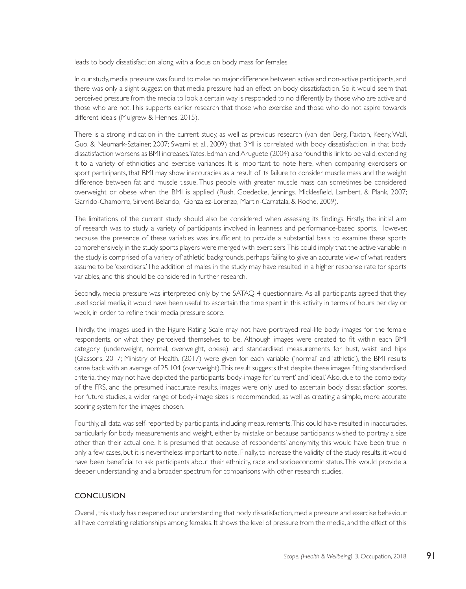leads to body dissatisfaction, along with a focus on body mass for females.

In our study, media pressure was found to make no major difference between active and non-active participants, and there was only a slight suggestion that media pressure had an effect on body dissatisfaction. So it would seem that perceived pressure from the media to look a certain way is responded to no differently by those who are active and those who are not. This supports earlier research that those who exercise and those who do not aspire towards different ideals (Mulgrew & Hennes, 2015).

There is a strong indication in the current study, as well as previous research (van den Berg, Paxton, Keery, Wall, Guo, & Neumark-Sztainer, 2007; Swami et al., 2009) that BMI is correlated with body dissatisfaction, in that body dissatisfaction worsens as BMI increases. Yates, Edman and Aruguete (2004) also found this link to be valid, extending it to a variety of ethnicities and exercise variances. It is important to note here, when comparing exercisers or sport participants, that BMI may show inaccuracies as a result of its failure to consider muscle mass and the weight difference between fat and muscle tissue. Thus people with greater muscle mass can sometimes be considered overweight or obese when the BMI is applied (Rush, Goedecke, Jennings, Micklesfield, Lambert, & Plank, 2007; Garrido-Chamorro, Sirvent-Belando, Gonzalez-Lorenzo, Martin-Carratala, & Roche, 2009).

The limitations of the current study should also be considered when assessing its findings. Firstly, the initial aim of research was to study a variety of participants involved in leanness and performance-based sports. However, because the presence of these variables was insufficient to provide a substantial basis to examine these sports comprehensively, in the study sports players were merged with exercisers. This could imply that the active variable in the study is comprised of a variety of 'athletic' backgrounds, perhaps failing to give an accurate view of what readers assume to be 'exercisers.' The addition of males in the study may have resulted in a higher response rate for sports variables, and this should be considered in further research.

Secondly, media pressure was interpreted only by the SATAQ-4 questionnaire. As all participants agreed that they used social media, it would have been useful to ascertain the time spent in this activity in terms of hours per day or week, in order to refine their media pressure score.

Thirdly, the images used in the Figure Rating Scale may not have portrayed real-life body images for the female respondents, or what they perceived themselves to be. Although images were created to fit within each BMI category (underweight, normal, overweight, obese), and standardised measurements for bust, waist and hips (Glassons, 2017; Ministry of Health. (2017) were given for each variable ('normal' and 'athletic'), the BMI results came back with an average of 25.104 (overweight). This result suggests that despite these images fitting standardised criteria, they may not have depicted the participants' body-image for 'current' and 'ideal.' Also, due to the complexity of the FRS, and the presumed inaccurate results, images were only used to ascertain body dissatisfaction scores. For future studies, a wider range of body-image sizes is recommended, as well as creating a simple, more accurate scoring system for the images chosen.

Fourthly, all data was self-reported by participants, including measurements. This could have resulted in inaccuracies, particularly for body measurements and weight, either by mistake or because participants wished to portray a size other than their actual one. It is presumed that because of respondents' anonymity, this would have been true in only a few cases, but it is nevertheless important to note. Finally, to increase the validity of the study results, it would have been beneficial to ask participants about their ethnicity, race and socioeconomic status. This would provide a deeper understanding and a broader spectrum for comparisons with other research studies.

## **CONCLUSION**

Overall, this study has deepened our understanding that body dissatisfaction, media pressure and exercise behaviour all have correlating relationships among females. It shows the level of pressure from the media, and the effect of this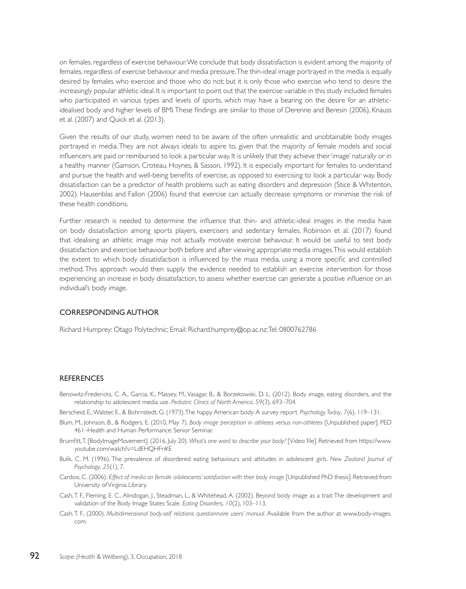on females, regardless of exercise behaviour. We conclude that body dissatisfaction is evident among the majority of females, regardless of exercise behaviour and media pressure. The thin-ideal image portrayed in the media is equally desired by females who exercise and those who do not; but it is only those who exercise who tend to desire the increasingly popular athletic ideal. It is important to point out that the exercise variable in this study included females who participated in various types and levels of sports, which may have a bearing on the desire for an athleticidealised body and higher levels of BMI. These findings are similar to those of Derenne and Beresin (2006), Knauss et al. (2007) and Quick et al. (2013).

Given the results of our study, women need to be aware of the often unrealistic and unobtainable body images portrayed in media. They are not always ideals to aspire to, given that the majority of female models and social influencers are paid or reimbursed to look a particular way. It is unlikely that they achieve their 'image' naturally or in a healthy manner (Gamson, Croteau, Hoynes, & Sasson, 1992). It is especially important for females to understand and pursue the health and well-being benefits of exercise, as opposed to exercising to look a particular way. Body dissatisfaction can be a predictor of health problems such as eating disorders and depression (Stice & Whitenton, 2002). Hausenblas and Fallon (2006) found that exercise can actually decrease symptoms or minimise the risk of these health conditions.

Further research is needed to determine the influence that thin- and athletic-ideal images in the media have on body dissatisfaction among sports players, exercisers and sedentary females. Robinson et al. (2017) found that idealising an athletic image may not actually motivate exercise behaviour. It would be useful to test body dissatisfaction and exercise behaviour both before and after viewing appropriate media images. This would establish the extent to which body dissatisfaction is influenced by the mass media, using a more specific and controlled method. This approach would then supply the evidence needed to establish an exercise intervention for those experiencing an increase in body dissatisfaction, to assess whether exercise can generate a positive influence on an individual's body image.

#### CORRESPONDING AUTHOR

Richard Humprey: Otago Polytechnic; Email: Richard.humprey@op.ac.nz; Tel: 0800762786

#### **REFERENCES**

- Benowitz-Fredericks, C. A., Garcia, K., Massey, M., Vasagar, B., & Borzekowski, D. L. (2012). Body image, eating disorders, and the relationship to adolescent media use. *Pediatric Clinics of North America*, *59*(3), 693–704.
- Berscheid, E., Walster, E., & Bohrnstedt, G. (1973). The happy American body: A survey report. *Psychology Today*, *7*(6), 119–131.
- Blum, M., Johnson, B., & Rodgers, E. (2010, May 7). *Body image perception in athletes versus non-athletes* [Unpublished paper]. PED 461–Health and Human Performance: Senior Seminar.
- Brumfitt, T. [BodyImageMovement]. (2016, July 20). *What's one word to describe your body?* [Video file]. Retrieved from https://www. youtube.com/watch?v=LdEHQHFriKE
- Bulik, C. M. (1996). The prevalence of disordered eating behaviours and attitudes in adolescent girls. *New Zealand Journal of Psychology*, *25*(1), 7.
- Cardosi, C. (2006). *Effect of media on female adolescents' satisfaction with their body image* [Unpublished PhD thesis]. Retrieved from University of Virginia Library.
- Cash, T. F., Fleming, E. C., Alindogan, J., Steadman, L., & Whitehead, A. (2002). Beyond body image as a trait: The development and validation of the Body Image States Scale. *Eating Disorders*, *10*(2), 103–113.
- Cash, T. F., (2000). *Multidimensional body-self relations questionnaire users' manual.* Available from the author at www.body-images. com.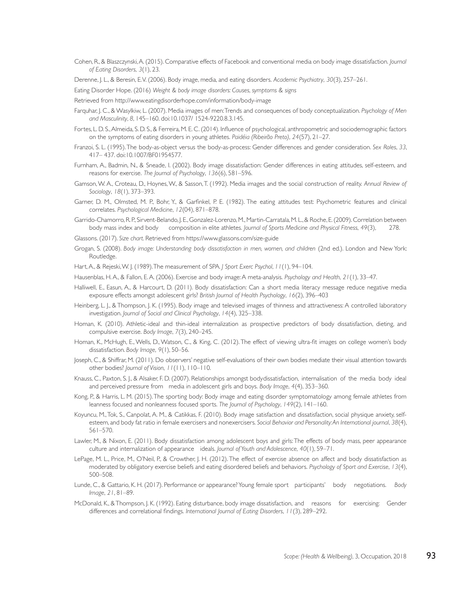Cohen, R., & Blaszczynski, A. (2015). Comparative effects of Facebook and conventional media on body image dissatisfaction. *Journal of Eating Disorders*, *3*(1), 23.

Derenne, J. L., & Beresin, E. V. (2006). Body image, media, and eating disorders. *Academic Psychiatry*, *30*(3), 257–261.

Eating Disorder Hope. (2016) *Weight & body image disorders: Causes, symptoms & signs*

Retrieved from http://www.eatingdisorderhope.com/information/body-image

- Farquhar, J. C., & Wasylkiw, L. (2007). Media images of men: Trends and consequences of body conceptualization. *Psychology of Men and Masculinity*, *8*, 145–160. doi:10.1037/ 1524-9220.8.3.145.
- Fortes, L. D. S., Almeida, S. D. S., & Ferreira, M. E. C. (2014). Influence of psychological, anthropometric and sociodemographic factors on the symptoms of eating disorders in young athletes. *Paidéia (Ribeirão Preto)*, *24*(57), 21–27.
- Franzoi, S. L. (1995). The body-as-object versus the body-as-process: Gender differences and gender consideration. *Sex Roles*, *33*, 417– 437. doi:10.1007/BF01954577.
- Furnham, A., Badmin, N., & Sneade, I. (2002). Body image dissatisfaction: Gender differences in eating attitudes, self-esteem, and reasons for exercise. *The Journal of Psychology*, *136*(6), 581–596.
- Gamson, W. A., Croteau, D., Hoynes, W., & Sasson, T. (1992). Media images and the social construction of reality. *Annual Review of Sociology*, *18*(1), 373–393.
- Garner, D. M., Olmsted, M. P., Bohr, Y., & Garfinkel, P. E. (1982). The eating attitudes test: Psychometric features and clinical correlates. *Psychological Medicine*, *12*(04), 871–878.
- Garrido-Chamorro, R. P., Sirvent-Belando, J. E., Gonzalez-Lorenzo, M., Martin-Carratala, M. L., & Roche, E. (2009). Correlation between body mass index and body composition in elite athletes. *Journal of Sports Medicine and Physical Fitness*, *49*(3), 278.
- Glassons. (2017). *Size chart.* Retrieved from https://www.glassons.com/size-guide
- Grogan, S. (2008). *Body image: Understanding body dissatisfaction in men, women, and children* (2nd ed.). London and New York: Routledge.
- Hart, A., & Rejeski, W. J. (1989). The measurement of SPA*. J Sport Exerc Psychol*, *11*(1), 94–104.
- Hausenblas, H. A., & Fallon, E. A. (2006). Exercise and body image: A meta-analysis. *Psychology and Health*, *21*(1), 33–47.
- Halliwell, E., Easun, A., & Harcourt, D. (2011). Body dissatisfaction: Can a short media literacy message reduce negative media exposure effects amongst adolescent girls? *British Journal of Health Psychology*, *16*(2), 396–403
- Heinberg, L. J., & Thompson, J. K. (1995). Body image and televised images of thinness and attractiveness: A controlled laboratory investigation. *Journal of Social and Clinical Psychology*, *14*(4), 325–338.
- Homan, K. (2010). Athletic-ideal and thin-ideal internalization as prospective predictors of body dissatisfaction, dieting, and compulsive exercise. *Body Image*, *7*(3), 240–245.
- Homan, K., McHugh, E., Wells, D., Watson, C., & King, C. (2012). The effect of viewing ultra-fit images on college women's body dissatisfaction. *Body Image*, *9*(1), 50–56.
- Joseph, C., & Shiffrar, M. (2011). Do observers' negative self-evaluations of their own bodies mediate their visual attention towards other bodies? *Journal of Vision*, *11*(11), 110–110.
- Knauss, C., Paxton, S. J., & Alsaker, F. D. (2007). Relationships amongst bodydissatisfaction, internalisation of the media body ideal and perceived pressure from media in adolescent girls and boys. *Body Image*, *4*(4), 353–360.
- Kong, P., & Harris, L. M. (2015). The sporting body: Body image and eating disorder symptomatology among female athletes from leanness focused and nonleanness focused sports. *The Journal of Psychology*, *149*(2), 141–160.
- Koyuncu, M., Tok, S., Canpolat, A. M., & Catikkas, F. (2010). Body image satisfaction and dissatisfaction, social physique anxiety, selfesteem, and body fat ratio in female exercisers and nonexercisers. *Social Behavior and Personality: An International journal*, *38*(4), 561–570.
- Lawler, M., & Nixon, E. (2011). Body dissatisfaction among adolescent boys and girls: The effects of body mass, peer appearance culture and internalization of appearance ideals. *Journal of Youth and Adolescence*, *40*(1), 59–71.
- LePage, M. L., Price, M., O'Neil, P., & Crowther, J. H. (2012). The effect of exercise absence on affect and body dissatisfaction as moderated by obligatory exercise beliefs and eating disordered beliefs and behaviors. *Psychology of Sport and Exercise*, *13*(4), 500–508.
- Lunde, C., & Gattario, K. H. (2017). Performance or appearance? Young female sport participants' body negotiations. *Body Image*, *21*, 81–89.
- McDonald, K., & Thompson, J. K. (1992). Eating disturbance, body image dissatisfaction, and reasons for exercising: Gender differences and correlational findings. *International Journal of Eating Disorders*, *11*(3), 289–292.